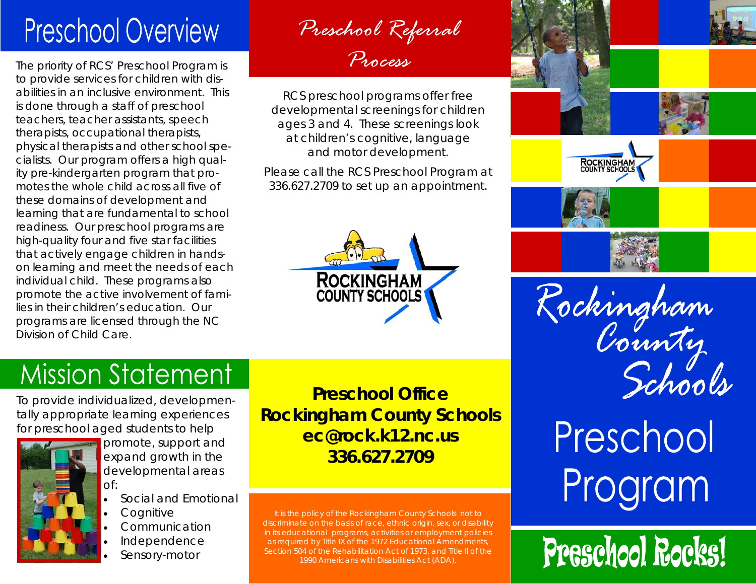## **Preschool Overview**

The priority of RCS' Preschool Program is to provide services for children with disabilities in an inclusive environment. This is done through a staff of preschool teachers, teacher assistants, speech therapists, occupational therapists, physical therapists and other school specialists. Our program offers a high quality pre-kindergarten program that promotes the whole child across all five of these domains of development and learning that are fundamental to school readiness. Our preschool programs are high-quality four and five star facilities that actively engage children in handson learning and meet the needs of each individual child. These programs also promote the active involvement of families in their children's education. Our programs are licensed through the NC Division of Child Care.

*Preschool Referral Process*

RCS preschool programs offer free developmental screenings for children ages 3 and 4. These screenings look at children's cognitive, language and motor development.

Please call the RCS Preschool Program at 336.627.2709 to set up an appointment.



# ROCKINGHAM<br>COUNTY SCHOOLS

Rockingham<br>County

# Preschool Program

# Preschool Rocks!

### **Mission Statement**

To provide individualized, developmentally appropriate learning experiences for preschool aged students to help



promote, support and expand growth in the developmental areas of:

- Social and Emotional
- **Cognitive**
- Communication
- Independence
- Sensory-motor

**Preschool Office Rockingham County Schools ec@rock.k12.nc.us 336.627.2709** 

It is the policy of the Rockingham County Schools not to discriminate on the basis of race, ethnic origin, sex, or disability in its educational programs, activities or employment policies as required by Title IX of the 1972 Educational Amendments, Section 504 of the Rehabilitation Act of 1973, and Title II of the 1990 Americans with Disabilities Act (ADA).